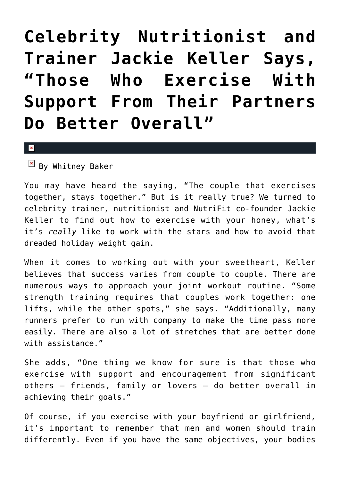## **[Celebrity Nutritionist and](https://cupidspulse.com/42393/celebrity-nutritionist-trainer-jackie-keller-exercise/) [Trainer Jackie Keller Says,](https://cupidspulse.com/42393/celebrity-nutritionist-trainer-jackie-keller-exercise/) ["Those Who Exercise With](https://cupidspulse.com/42393/celebrity-nutritionist-trainer-jackie-keller-exercise/) [Support From Their Partners](https://cupidspulse.com/42393/celebrity-nutritionist-trainer-jackie-keller-exercise/) [Do Better Overall"](https://cupidspulse.com/42393/celebrity-nutritionist-trainer-jackie-keller-exercise/)**

## $\vert \mathbf{x} \vert$

 $\mathbb{E}$  By Whitney Baker

You may have heard the saying, "The couple that exercises together, stays together." But is it really true? We turned to celebrity trainer, nutritionist and NutriFit co-founder Jackie Keller to find out how to exercise with your honey, what's it's *really* like to work with the stars and how to avoid that dreaded holiday weight gain.

When it comes to working out with your sweetheart, Keller believes that success varies from couple to couple. There are numerous ways to approach your joint workout routine. "Some strength training requires that couples work together: one lifts, while the other spots," she says. "Additionally, many runners prefer to run with company to make the time pass more easily. There are also a lot of stretches that are better done with assistance."

She adds, "One thing we know for sure is that those who exercise with support and encouragement from significant others — friends, family or lovers — do better overall in achieving their goals."

Of course, if you exercise with your boyfriend or girlfriend, it's important to remember that men and women should train differently. Even if you have the same objectives, your bodies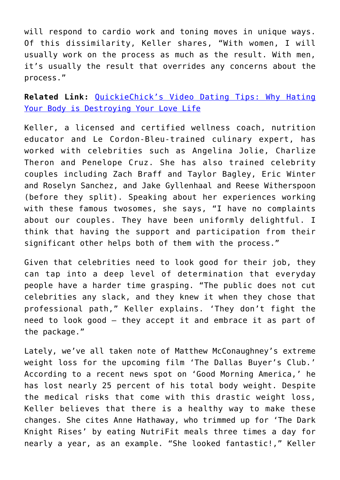will respond to cardio work and toning moves in unique ways. Of this dissimilarity, Keller shares, "With women, I will usually work on the process as much as the result. With men, it's usually the result that overrides any concerns about the process."

**Related Link:** [QuickieChick's Video Dating Tips: Why Hating](http://cupidspulse.com/quickiechicks-video-dating-tips-why-hating-your-body-is-destroying-your-relationship/) [Your Body is Destroying Your Love Life](http://cupidspulse.com/quickiechicks-video-dating-tips-why-hating-your-body-is-destroying-your-relationship/)

Keller, a licensed and certified wellness coach, nutrition educator and Le Cordon-Bleu-trained culinary expert, has worked with celebrities such as Angelina Jolie, Charlize Theron and Penelope Cruz. She has also trained celebrity couples including Zach Braff and Taylor Bagley, Eric Winter and Roselyn Sanchez, and Jake Gyllenhaal and Reese Witherspoon (before they split). Speaking about her experiences working with these famous twosomes, she says, "I have no complaints about our couples. They have been uniformly delightful. I think that having the support and participation from their significant other helps both of them with the process."

Given that celebrities need to look good for their job, they can tap into a deep level of determination that everyday people have a harder time grasping. "The public does not cut celebrities any slack, and they knew it when they chose that professional path," Keller explains. 'They don't fight the need to look good — they accept it and embrace it as part of the package."

Lately, we've all taken note of Matthew McConaughney's extreme weight loss for the upcoming film 'The Dallas Buyer's Club.' According to a recent news spot on 'Good Morning America,' he has lost nearly 25 percent of his total body weight. Despite the medical risks that come with this drastic weight loss, Keller believes that there is a healthy way to make these changes. She cites Anne Hathaway, who trimmed up for 'The Dark Knight Rises' by eating NutriFit meals three times a day for nearly a year, as an example. "She looked fantastic!," Keller